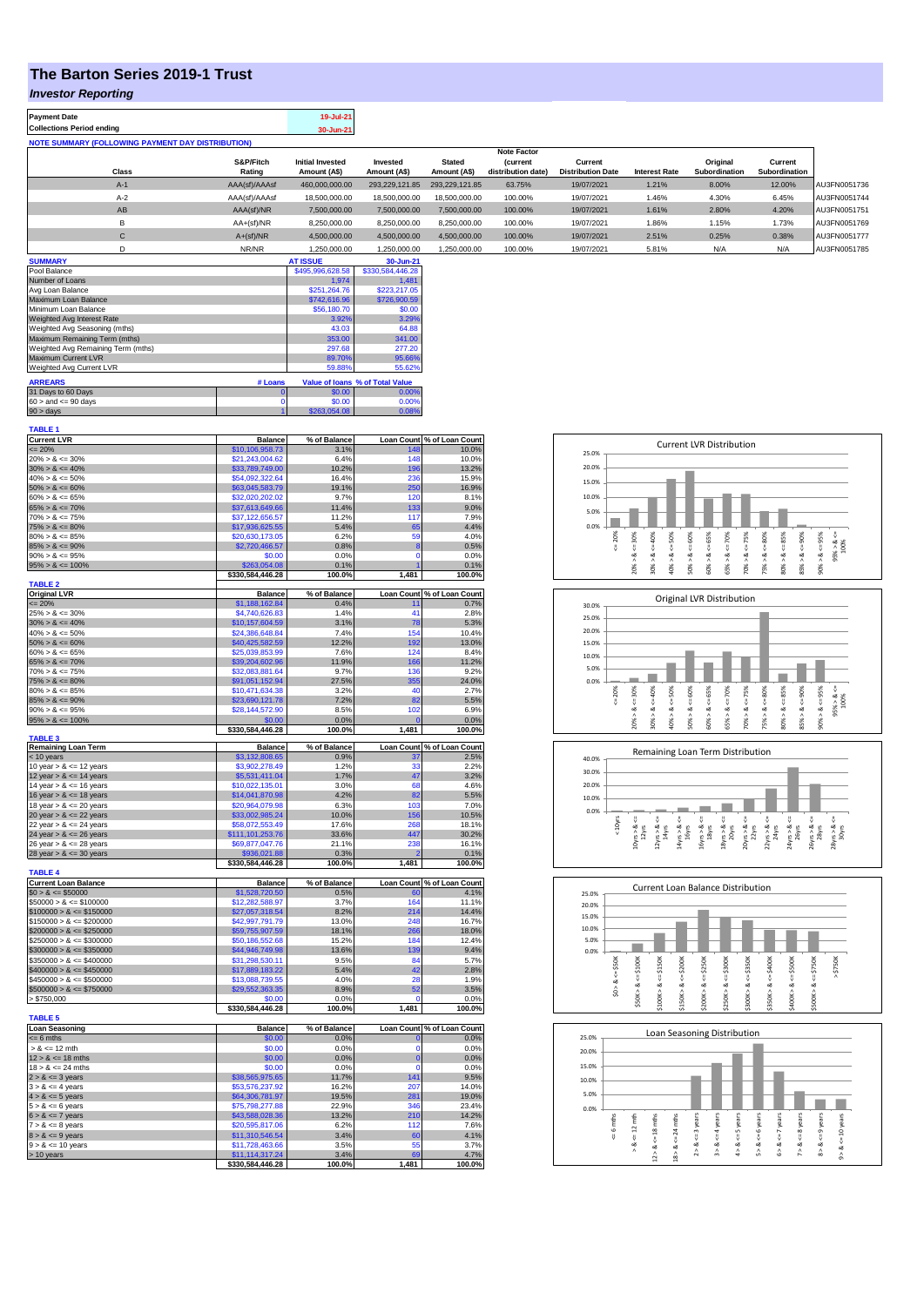## **The Barton Series 2019-1 Trust**

## *Investor Reporting*

| <b>Payment Date</b>                                      | 19-Jul-21 |
|----------------------------------------------------------|-----------|
| <b>Collections Period ending</b>                         | 30-Jun-21 |
| <b>NOTE SUMMARY (FOLLOWING PAYMENT DAY DISTRIBUTION)</b> |           |

|               |                         |                |                | <b>Note Factor</b> |                          |                      |               |               |              |
|---------------|-------------------------|----------------|----------------|--------------------|--------------------------|----------------------|---------------|---------------|--------------|
| S&P/Fitch     | <b>Initial Invested</b> | Invested       | <b>Stated</b>  | <b>(current</b>    | Current                  |                      | Original      | Current       |              |
| Rating        | Amount (A\$)            | Amount (A\$)   | Amount (A\$)   | distribution date) | <b>Distribution Date</b> | <b>Interest Rate</b> | Subordination | Subordination |              |
| AAA(sf)/AAAsf | 460,000,000.00          | 293.229.121.85 | 293.229.121.85 | 63.75%             | 19/07/2021               | 1.21%                | 8.00%         | 12.00%        | AU3FN0051736 |
| AAA(sf)/AAAsf | 18,500,000.00           | 18,500,000,00  | 18,500,000.00  | 100.00%            | 19/07/2021               | 1.46%                | 4.30%         | 6.45%         | AU3FN0051744 |
| AAA(sf)/NR    | 7.500.000.00            | 7.500.000.00   | 7.500.000.00   | 100.00%            | 19/07/2021               | 1.61%                | 2.80%         | 4.20%         | AU3FN0051751 |
| AA+(sf)/NR    | 8,250,000.00            | 8,250,000.00   | 8,250,000.00   | 100.00%            | 19/07/2021               | 1.86%                | 1.15%         | 1.73%         | AU3FN0051769 |
| $A+(sf)/NR$   | 4.500.000.00            | 4.500.000.00   | 4,500,000.00   | 100.00%            | 19/07/2021               | 2.51%                | 0.25%         | 0.38%         | AU3FN0051777 |
| NR/NR         | 1.250.000.00            | 1.250.000.00   | 1,250,000.00   | 100.00%            | 19/07/2021               | 5.81%                | N/A           | N/A           | AU3FN0051785 |
|               |                         |                |                |                    |                          |                      |               |               |              |

| <b>SUMMARY</b>                     |          | <b>AT ISSUE</b>  | 30-Jun-21                       |
|------------------------------------|----------|------------------|---------------------------------|
| Pool Balance                       |          | \$495,996,628.58 | \$330,584,446.28                |
| Number of Loans                    |          | 1.974            | 1.481                           |
| Avg Loan Balance                   |          | \$251.264.76     | \$223,217.05                    |
| Maximum Loan Balance               |          | \$742,616.96     | \$726,900.59                    |
| Minimum Loan Balance               |          | \$56,180.70      | \$0.00                          |
| Weighted Avg Interest Rate         |          | 3.92%            | 3.29%                           |
| Weighted Avg Seasoning (mths)      |          | 43.03            | 64.88                           |
| Maximum Remaining Term (mths)      |          | 353.00           | 341.00                          |
| Weighted Avg Remaining Term (mths) |          | 297.68           | 277.20                          |
| Maximum Current LVR                |          | 89.70%           | 95.66%                          |
| Weighted Avg Current LVR           |          | 59.88%           | 55.62%                          |
| <b>ARREARS</b>                     | # Loans  |                  | Value of Ioans % of Total Value |
| 31 Days to 60 Days                 | $\bf{0}$ | \$0.00           | 0.00%                           |
| $60 >$ and $\leq 90$ days          |          | \$0.00           | 0.00%                           |
| $90 >$ days                        |          | \$263,054.08     | 0.08%                           |

| <b>TABLE 1</b>                                           |                                     |                      |                      |                            |
|----------------------------------------------------------|-------------------------------------|----------------------|----------------------|----------------------------|
| <b>Current LVR</b>                                       | <b>Balance</b><br>\$10,106,958.73   | % of Balance<br>3.1% | 148                  | Loan Count % of Loan Count |
| $\leq$ 20%<br>$20\% > 8 \le 30\%$                        | \$21,243,004.62                     | 6.4%                 | 148                  | 10.0%<br>10.0%             |
| $30\% > 8 \le 40\%$                                      | \$33,789,749.00                     | 10.2%                | 196                  | 13.2%                      |
| $40\% > 8 \le 50\%$                                      | \$54,092,322.64                     | 16.4%                | 236                  | 15.9%                      |
| $50\% > 8 \le 60\%$                                      | \$63,045,583.79                     | 19.1%                | 250                  | 16.9%                      |
| $60\% > 8 \le 65\%$                                      | \$32,020,202.02                     | 9.7%                 | 120                  | 8.1%                       |
| $65\% > 8 \le 70\%$                                      | \$37,613,649.66                     | 11.4%                | 133                  | 9.0%                       |
| $70\% > 8 \le 75\%$                                      | \$37,122,656.57                     | 11.2%                | 117                  | 7.9%                       |
| $75\% > 8 \le 80\%$                                      | \$17,936,625.55                     | 5.4%                 | 65                   | 4.4%                       |
| $80\% > 8 \le 85\%$                                      | \$20,630,173.05                     | 6.2%                 | 59                   | 4.0%                       |
| $85\% > 8 \le 90\%$                                      | \$2,720,466.57                      | 0.8%                 | 8                    | 0.5%                       |
| $90\% > 8 \le 95\%$                                      | \$0.00                              | 0.0%                 | $\Omega$             | 0.0%                       |
| $95\% > 8 \le 100\%$                                     | \$263,054.08                        | 0.1%                 | 1                    | 0.1%                       |
| <b>TABLE 2</b>                                           | \$330,584,446.28                    | 100.0%               | 1,481                | 100.0%                     |
| <b>Original LVR</b>                                      | <b>Balance</b>                      | % of Balance         |                      | Loan Count % of Loan Count |
| $= 20%$                                                  | \$1,188,162.84                      | 0.4%                 | 11                   | 0.7%                       |
| $25\% > 8 \le 30\%$                                      | \$4,740,626.83                      | 1.4%                 | 41                   | 2.8%                       |
| $30\% > 8 \le 40\%$                                      | \$10,157,604.59                     | 3.1%                 | 78                   | 5.3%                       |
| $40\% > 8 \le 50\%$                                      | \$24,386,648.84                     | 7.4%                 | 154                  | 10.4%                      |
| $50\% > 8 \le 60\%$                                      | \$40,425,582.59                     | 12.2%                | 192                  | 13.0%                      |
| $60\% > 8 \le 65\%$                                      | \$25,039,853.99                     | 7.6%                 | 124                  | 8.4%                       |
| $65\% > 8 \le 70\%$                                      | \$39,204,602.96                     | 11.9%                | 166                  | 11.2%                      |
| $70\% > 8 \le 75\%$                                      | \$32,083,881.64                     | 9.7%                 | 136                  | 9.2%                       |
| $75\% > 8 \le 80\%$                                      | \$91,051,152.94                     | 27.5%                | 355                  | 24.0%                      |
| $80\% > 8 \le 85\%$                                      | \$10,471,634.38                     | 3.2%                 | 40                   | 2.7%                       |
| $85\% > 8 \le 90\%$                                      | \$23,690,121.78                     | 7.2%                 | 82                   | 5.5%                       |
| $90\% > 8 \le 95\%$                                      | \$28,144,572.90                     | 8.5%                 | 102                  | 6.9%                       |
| $95\% > 8 \le 100\%$                                     | \$0.00                              | 0.0%                 | $\mathbf{0}$         | 0.0%                       |
| <b>TABLE 3</b>                                           | \$330,584,446.28                    | 100.0%               | 1,481                | 100.0%                     |
| <b>Remaining Loan Term</b>                               | <b>Balance</b>                      | % of Balance         |                      | Loan Count % of Loan Count |
| < 10 years                                               | \$3,132,808.65                      | 0.9%                 | 37                   | 2.5%                       |
| 10 year $> 8 \le 12$ years                               | \$3.902.278.49                      | 1.2%                 | 33                   | 2.2%                       |
| 12 year $> 8 \le 14$ years                               | \$5,531,411.04                      | 1.7%                 | 47                   | 3.2%                       |
| 14 year $> 8 \le 16$ years                               | \$10,022,135.01                     | 3.0%                 | 68                   | 4.6%                       |
| 16 year $> 8 \le 18$ years                               | \$14,041,870.98                     | 4.2%                 | 82                   | 5.5%<br>7.0%               |
| 18 year $> 8 \le 20$ years<br>20 year $> 8 \le 22$ years | \$20,964,079.98<br>\$33,002,985.24  | 6.3%<br>10.0%        | 103                  | 10.5%                      |
| 22 year $> 8 \le 24$ years                               | \$58,072,553.49                     | 17.6%                | 156<br>268           | 18.1%                      |
| 24 year $> 8 \le 26$ years                               | \$111,101,253.76                    | 33.6%                | 447                  | 30.2%                      |
| 26 year $> 8 \le 28$ years                               | \$69,877,047.76                     | 21.1%                | 238                  | 16.1%                      |
| 28 year $> 8 \le 30$ years                               | \$936,021.88                        | 0.3%                 | $\overline{a}$       | 0.1%                       |
|                                                          | \$330,584,446.28                    | 100.0%               | 1,481                | 100.0%                     |
| <b>TABLE 4</b>                                           |                                     |                      |                      |                            |
| <b>Current Loan Balance</b>                              | <b>Balance</b>                      | % of Balance         |                      | Loan Count % of Loan Count |
| $$0 > 8 \le $50000$                                      | \$1,528,720.50                      | 0.5%                 | 60                   | 4.1%                       |
| $$50000 > 8 \le $100000$                                 | \$12,282,588.97                     | 3.7%                 | 164                  | 11.1%                      |
| $$100000 > 8 \leq $150000$                               | \$27,057,318.54                     | 8.2%                 | 214                  | 14.4%                      |
| $$150000 > 8 \le $200000$                                | \$42,997,791.79                     | 13.0%                | 248<br>266           | 16.7%                      |
| $$200000 > 8 \leq $250000$<br>$$250000 > 8 \le $300000$  | \$59,755,907.59<br>\$50,186,552.68  | 18.1%<br>15.2%       | 184                  | 18.0%<br>12.4%             |
| $$300000 > 8 \le $350000$                                | \$44,946,749.98                     | 13.6%                | 139                  | 9.4%                       |
| $$350000 > 8 \le $400000$                                | \$31,298,530.11                     | 9.5%                 | 84                   | 5.7%                       |
| $$400000 > 8 \le $450000$                                |                                     |                      |                      |                            |
| $$450000 > 8 \le $500000$                                |                                     |                      |                      |                            |
|                                                          | \$17,889,183.22                     | 5.4%                 | 42                   | 2.8%                       |
|                                                          | \$13,088,739.55                     | 4.0%                 | 28                   | 1.9%                       |
| $$500000 > 8 \le $750000$                                | \$29,552,363.35<br>\$0.00           | 8.9%<br>0.0%         | 52<br>$\Omega$       | 3.5%<br>0.0%               |
| > \$750,000                                              | \$330,584,446.28                    | 100.0%               | 1,481                | 100.0%                     |
|                                                          |                                     |                      |                      |                            |
| <b>Loan Seasoning</b>                                    | <b>Balance</b>                      | % of Balance         |                      | Loan Count % of Loan Count |
| $= 6$ mths                                               | \$0.00                              | 0.0%                 | O                    | 0.0%                       |
| $> 8 \le 12$ mth                                         | \$0.00                              | 0.0%                 | $\Omega$             | 0.0%                       |
| $12 > 8 \le 18$ mths                                     | \$0.00                              | 0.0%                 | $\bf{0}$<br>$\Omega$ | 0.0%                       |
| $18 > 8 \le 24$ mths                                     | \$0.00                              | 0.0%                 |                      | 0.0%                       |
| $2 > 8 \le 3$ years                                      | \$38,565,975.65                     | 11.7%                | 141                  | 9.5%                       |
| <b>TABLE 5</b><br>$3 > 8 \le 4$ years                    | \$53,576,237.92                     | 16.2%                | 207                  | 14.0%                      |
| $4 > 8 \le 5$ years                                      | \$64,306,781.97                     | 19.5%                | 281                  | 19.0%                      |
| $5 > 8 \le 6$ years                                      | \$75,798,277.88<br>\$43,588,028.36  | 22.9%<br>13.2%       | 346<br>210           | 23.4%<br>14.2%             |
| $6 > 8 \le 7$ years<br>$7 > 8 \le 8$ years               | \$20,595,817.06                     | 6.2%                 | 112                  | 7.6%                       |
| $8 > 8 \le 9$ years                                      | \$11,310,546.54                     | 3.4%                 | 60                   | 4.1%                       |
| $9 > 8 \le 10$ years                                     | \$11,728,463.66                     | 3.5%                 | 55                   | 3.7%                       |
| > 10 years                                               | \$11,114,317.24<br>\$330,584,446.28 | 3.4%<br>100.0%       | 69<br>1,481          | 4.7%<br>100.0%             |







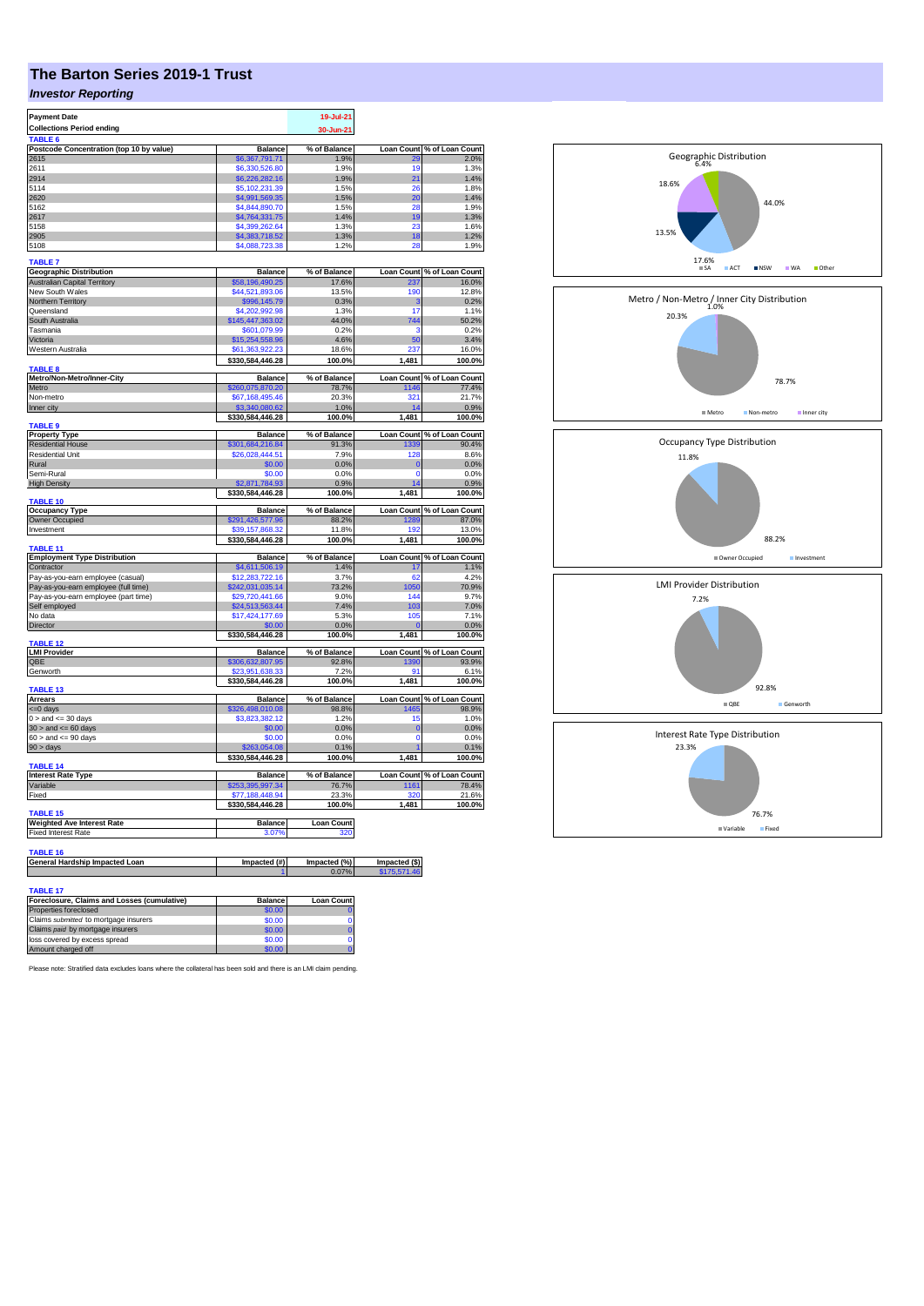# **The Barton Series 2019-1 Trust**

## *Investor Reporting*

| <b>Payment Date</b>                                    |                                     | 19-Jul-21             |                              |                                                                                                                              |
|--------------------------------------------------------|-------------------------------------|-----------------------|------------------------------|------------------------------------------------------------------------------------------------------------------------------|
| <b>Collections Period ending</b><br>TABLE 6            |                                     | 30-Jun-21             |                              |                                                                                                                              |
| Postcode Concentration (top 10 by value)               | <b>Balance</b>                      | % of Balance          | Loan Count                   | % of Loan Count                                                                                                              |
| 2615                                                   | \$6,367,791.71                      | 1.9%                  |                              | 2.0%                                                                                                                         |
| 2611<br>2914                                           | \$6,330,526.80<br>\$6,226,282.16    | 1.9%<br>1.9%          | 19<br>21                     | 1.3%<br>1.4%                                                                                                                 |
| 5114                                                   | \$5,102,231.39                      | 1.5%                  | 26                           | 1.8%                                                                                                                         |
| 2620                                                   | \$4,991,569.35                      | 1.5%                  | 20                           | 1.4%                                                                                                                         |
| 5162                                                   | \$4,844,890.70                      | 1.5%                  | 28                           | 1.9%                                                                                                                         |
| 2617                                                   | \$4,764,331.75                      | 1.4%                  | 19                           | 1.3%                                                                                                                         |
| 5158                                                   | \$4,399,262.64                      | 1.3%                  | 23                           | 1.6%                                                                                                                         |
| 2905                                                   | \$4,383,718.52                      | 1.3%                  | 18                           | 1.2%                                                                                                                         |
| 5108                                                   | \$4,088,723.38                      | 1.2%                  | 2۶                           | 1.9%                                                                                                                         |
| <b>TABLE 7</b><br><b>Geographic Distribution</b>       | <b>Balance</b>                      | % of Balance          | <b>Loan Count</b>            | % of Loan Count                                                                                                              |
| <b>Australian Capital Territory</b>                    | \$58,196,490.25                     | 17.6%                 |                              | 16.0%                                                                                                                        |
| New South Wales                                        | \$44,521,893.06                     | 13.5%                 | 190                          | 12.8%                                                                                                                        |
| Northern Territory                                     | \$996,145.79                        | 0.3%                  | з                            | 0.2%                                                                                                                         |
| Queensland                                             | \$4.202.992.98                      | 1.3%                  | 17                           | 1.1%                                                                                                                         |
| South Australia<br>Tasmania                            | \$145,447,363.02<br>\$601,079.99    | 44.0%<br>0.2%         | 744<br>ź                     | 50.2%<br>0.2%                                                                                                                |
| Victoria                                               | \$15,254,558.96                     | 4.6%                  | 50                           | 3.4%                                                                                                                         |
| Western Australia                                      | \$61,363,922.23                     | 18.6%                 | 237                          | 16.0%                                                                                                                        |
|                                                        | \$330,584,446.28                    | 100.0%                | 1,481                        | 100.0%                                                                                                                       |
| <b>TABLE 8</b><br>Metro/Non-Metro/Inner-City           | <b>Balance</b>                      | % of Balance          | <b>Loan Count</b>            | % of Loan Count                                                                                                              |
| Metro                                                  | \$260,075,870.20                    | 78.7%                 | 1146                         | 77.4%                                                                                                                        |
| Non-metro                                              | \$67.168.495.46                     | 20.3%                 | 321                          | 21.7%                                                                                                                        |
| Inner city                                             | \$3,340,080.62                      | 1.0%                  | 14                           | 0.9%                                                                                                                         |
| TABLE 9                                                | \$330,584,446.28                    | 100.0%                | 1,481                        | 100.0%                                                                                                                       |
| <b>Property Type</b>                                   | <b>Balance</b>                      | % of Balance          |                              | Loan Count % of Loan Count                                                                                                   |
| <b>Residential House</b>                               | \$301,684,216.84                    | 91.3%                 | 1339                         | 90.4%                                                                                                                        |
| <b>Residential Unit</b>                                | \$26,028,444.51                     | 7.9%                  | 128                          | 8.6%                                                                                                                         |
| Rural                                                  | \$0.00                              | 0.0%                  | $\mathbf{0}$                 | 0.0%                                                                                                                         |
| Semi-Rural                                             | \$0.00                              | 0.0%                  | $\Omega$                     | 0.0%                                                                                                                         |
| <b>High Density</b>                                    | \$2.871.784.93                      | 0.9%                  | 14                           | 0.9%                                                                                                                         |
| <b>TABLE 10</b>                                        | \$330,584,446.28                    | 100.0%                | 1.481                        | 100.0%                                                                                                                       |
| <b>Occupancy Type</b>                                  | <b>Balance</b>                      | % of Balance          |                              | Loan Count % of Loan Count                                                                                                   |
| <b>Owner Occupied</b>                                  | \$291,426,577.96                    | 88.2%                 | 1289                         | 87.0%                                                                                                                        |
| Investment                                             | \$39,157,868.32<br>\$330,584,446.28 | 11.8%<br>100.0%       | 192<br>1,481                 | 13.0%<br>100.0%                                                                                                              |
| <b>TABLE 11</b><br><b>Employment Type Distribution</b> | <b>Balance</b>                      | % of Balance          | <b>Loan Count</b>            | % of Loan Count                                                                                                              |
| Contractor                                             | \$4,611,506.19                      | 1.4%                  | 17                           | 1.1%                                                                                                                         |
| Pay-as-you-earn employee (casual)                      | \$12,283,722.16                     | 3.7%                  | 62                           | 4.2%                                                                                                                         |
| Pay-as-you-earn employee (full time)                   | \$242,031,035.14                    | 73.2%                 | 1050                         | 70.9%                                                                                                                        |
| Pay-as-you-earn employee (part time)                   | \$29,720,441.66                     | 9.0%                  | 144                          | 9.7%                                                                                                                         |
| Self employed                                          | \$24,513,563.44                     | 7.4%                  | 103                          | 7.0%                                                                                                                         |
| No data                                                | \$17,424,177.69                     | 5.3%                  | 105                          | 7.1%                                                                                                                         |
| Director                                               | \$0.00<br>\$330,584,446.28          | 0.0%<br>100.0%        | 1,481                        | 0.0%<br>100.0%                                                                                                               |
| <b>TABLE 12</b><br><b>LMI Provider</b>                 | <b>Balance</b>                      | % of Balance          | <b>Loan Count</b>            | % of Loan Count                                                                                                              |
| QBE                                                    | \$306,632,807.95                    | 92.8%                 | 1390                         | 93.9%                                                                                                                        |
| Genworth                                               | \$23,951,638.33                     | 7.2%                  | ٩f                           | 6.1%                                                                                                                         |
|                                                        | \$330,584,446.28                    | 100.0%                | 1,481                        | 100.0%                                                                                                                       |
|                                                        |                                     |                       |                              |                                                                                                                              |
| <b>TABLE 13</b>                                        |                                     |                       |                              |                                                                                                                              |
| <b>Arrears</b>                                         | <b>Balance</b>                      | % of Balance          | <b>Loan Count</b>            |                                                                                                                              |
| <= 0 days<br>$0 >$ and $\leq 30$ days                  | \$326,498,010.08<br>\$3,823,382.12  | 98.8%<br>1.2%         | 1465<br>15                   |                                                                                                                              |
| $30 >$ and $\leq 60$ days                              | \$0.00                              | 0.0%                  | $\overline{0}$               |                                                                                                                              |
| $60 >$ and $\leq 90$ days                              | \$0.00                              | 0.0%                  | $\Omega$                     |                                                                                                                              |
| $90 > \text{days}$                                     | \$263,054.08                        | 0.1%                  | 1                            |                                                                                                                              |
| <b>TABLE 14</b>                                        | \$330,584,446.28                    | 100.0%                | 1.481                        |                                                                                                                              |
| <b>Interest Rate Type</b>                              | <b>Balance</b>                      | % of Balance          |                              |                                                                                                                              |
| Variable                                               | \$253,395,997.34                    | 76.7%                 | 1161                         |                                                                                                                              |
| Fixed                                                  | \$77,188,448.94                     | 23.3%                 | 320                          |                                                                                                                              |
| TABLE 15                                               | \$330,584,446.28                    | 100.0%                | 1,481                        |                                                                                                                              |
| <b>Weighted Ave Interest Rate</b>                      | <b>Balance</b>                      | <b>Loan Count</b>     |                              |                                                                                                                              |
| <b>Fixed Interest Rate</b>                             | 3.07%                               | 320                   |                              |                                                                                                                              |
| TABLE 16                                               |                                     |                       |                              | % of Loan Count<br>98.9%<br>1.0%<br>0.0%<br>0.0%<br>0.1%<br>100.0%<br>Loan Count % of Loan Count<br>78.4%<br>21.6%<br>100.0% |
| General Hardship Impacted Loan                         | Impacted (#)                        | Impacted (%)<br>0.07% | Impacted (\$)<br>\$175,571.4 |                                                                                                                              |

| <b>IADLE 17</b><br>Foreclosure, Claims and Losses (cumulative) | <b>Balance</b> | <b>Loan Count</b> |
|----------------------------------------------------------------|----------------|-------------------|
|                                                                |                |                   |
| Properties foreclosed                                          | \$0.00         |                   |
| Claims submitted to mortgage insurers                          | \$0.00         |                   |
| Claims paid by mortgage insurers                               | \$0.00         |                   |
| loss covered by excess spread                                  | \$0.00         |                   |
| Amount charged off                                             | \$0.00         |                   |

Please note: Stratified data excludes loans where the collateral has been sold and there is an LMI claim pending.